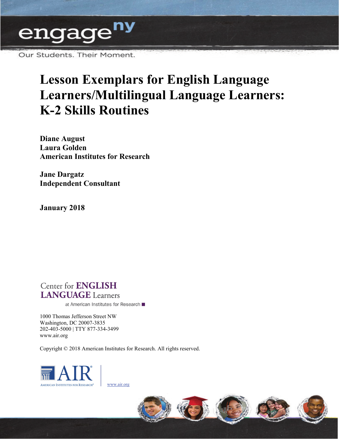

Our Students. Their Moment.

# **Lesson Exemplars for English Language Learners/Multilingual Language Learners: K-2 Skills Routines**

**Diane August Laura Golden American Institutes for Research** 

**Jane Dargatz Independent Consultant** 

**January 2018** 

# **Center for ENGLISH LANGUAGE** Learners

at American Institutes for Research ■

1000 Thomas Jefferson Street NW Washington, DC 20007-3835 202-403-5000 | TTY 877-334-3499 [www.air.org](http://www.air.org) 

Copyright © 2018 American Institutes for Research. All rights reserved.



[www.air.org](http://www.air.org/) 

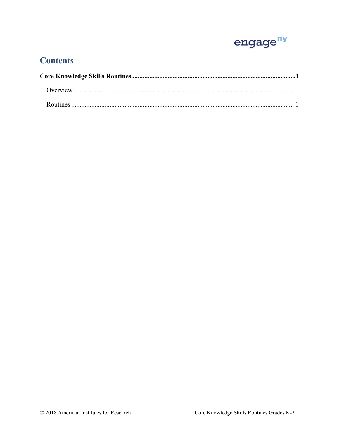

# **Contents**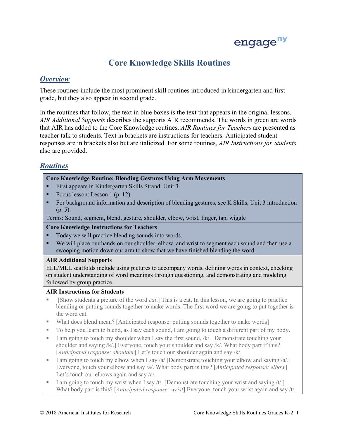

# **Core Knowledge Skills Routines**

# <span id="page-2-1"></span><span id="page-2-0"></span>*Overview*

These routines include the most prominent skill routines introduced in kindergarten and first grade, but they also appear in second grade.

In the routines that follow, the text in blue boxes is the text that appears in the original lessons. *AIR Additional Supports* describes the supports AIR recommends. The words in green are words that AIR has added to the Core Knowledge routines. *AIR Routines for Teachers* are presented as teacher talk to students. Text in brackets are instructions for teachers. Anticipated student responses are in brackets also but are italicized. For some routines, *AIR Instructions for Students*  also are provided.

# <span id="page-2-2"></span>*Routines*

# **Core Knowledge Routine: Blending Gestures Using Arm Movements**

- First appears in Kindergarten Skills Strand, Unit 3
- Focus lesson: Lesson 1 (p. 12)
- (p. 5). For background information and description of blending gestures, see K Skills, Unit 3 introduction
- Terms: Sound, segment, blend, gesture, shoulder, elbow, wrist, finger, tap, wiggle

# **Core Knowledge Instructions for Teachers**

- Today we will practice blending sounds into words.
- We will place our hands on our shoulder, elbow, and wrist to segment each sound and then use a swooping motion down our arm to show that we have finished blending the word.

# **AIR Additional Supports**

 ELL/MLL scaffolds include using pictures to accompany words, defining words in context, checking followed by group practice. on student understanding of word meanings through questioning, and demonstrating and modeling

- blending or putting sounds together to make words. The first word we are going to put together is [Show students a picture of the word *cat*.] This is a cat. In this lesson, we are going to practice the word cat.
- What does blend mean? [Anticipated response: putting sounds together to make words]
- To help you learn to blend, as I say each sound, I am going to touch a different part of my body.
- shoulder and saying /k/.] Everyone, touch your shoulder and say /k/. What body part if this? I am going to touch my shoulder when I say the first sound,  $/k/$ . [Demonstrate touching your [*Anticipated response: shoulder*] Let's touch our shoulder again and say /k/.
- Everyone, touch your elbow and say /a/. What body part is this? [*Anticipated response: elbow*] I am going to touch my elbow when I say /a/ [Demonstrate touching your elbow and saying /a/.] Let's touch our elbows again and say /a/.
- I am going to touch my wrist when I say /t/. [Demonstrate touching your wrist and saying  $/t$ .] What body part is this? [*Anticipated response: wrist*] Everyone, touch your wrist again and say /t/.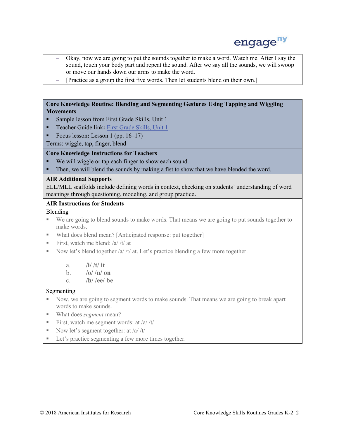

- – Okay, now we are going to put the sounds together to make a word. Watch me. After I say the sound, touch your body part and repeat the sound. After we say all the sounds, we will swoop or move our hands down our arms to make the word.
- [Practice as a group the first five words. Then let students blend on their own.]

# **Core Knowledge Routine: Blending and Segmenting Gestures Using Tapping and Wiggling Movements**

- **Sample lesson from First Grade Skills, Unit 1**
- **Teacher Guide link:** First Grade Skills, Unit 1
- Focus lesson**:** Lesson 1 (pp. 16–17)

Terms: wiggle, tap, finger, blend

# **Core Knowledge Instructions for Teachers**

- We will wiggle or tap each finger to show each sound.
- Then, we will blend the sounds by making a fist to show that we have blended the word.

# **AIR Additional Supports**

 ELL/MLL scaffolds include defining words in context, checking on students' understanding of word meanings through questioning, modeling, and group practice**.** 

# **AIR Instructions for Students**

# Blending

- We are going to blend sounds to make words. That means we are going to put sounds together to make words.
- What does blend mean? [Anticipated response: put together]
- First, watch me blend: /a/ /t/ at
- Now let's blend together  $/a$  /t/ at. Let's practice blending a few more together.
	- a. **/i/ /t/ it**
	- b. **/o/ /n/ on**
	- c. **/b/ /ee/ be**

# Segmenting

- Now, we are going to segment words to make sounds. That means we are going to break apart words to make sounds.
- What does *segment* mean?
- First, watch me segment words: at  $/a/t$
- Now let's segment together: at  $\frac{a}{x}$  /t/
- Let's practice segmenting a few more times together.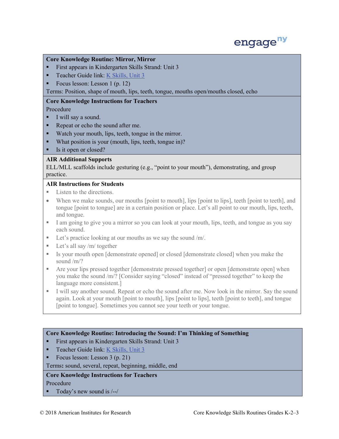

#### **Core Knowledge Routine: Mirror, Mirror**

- First appears in Kindergarten Skills Strand: Unit 3
- Teacher Guide link: K Skills, Unit 3
- Focus lesson: Lesson 1 (p. 12)

Terms: Position, shape of mouth, lips, teeth, tongue, mouths open/mouths closed, echo

# **Core Knowledge Instructions for Teachers**

Procedure

- I will say a sound.
- Repeat or echo the sound after me.
- Watch your mouth, lips, teeth, tongue in the mirror.
- What position is your (mouth, lips, teeth, tongue in)?
- Is it open or closed?

# **AIR Additional Supports**

 ELL/MLL scaffolds include gesturing (e.g., "point to your mouth"), demonstrating, and group practice.

# **AIR Instructions for Students**

- Listen to the directions.
- tongue [point to tongue] are in a certain position or place. Let's all point to our mouth, lips, teeth, When we make sounds, our mouths [point to mouth], lips [point to lips], teeth [point to teeth], and and tongue.
- I am going to give you a mirror so you can look at your mouth, lips, teeth, and tongue as you say each sound.
- Let's practice looking at our mouths as we say the sound /m/.
- Let's all say /m/ together
- Is your mouth open [demonstrate opened] or closed [demonstrate closed] when you make the sound /m/?
- Are your lips pressed together [demonstrate pressed together] or open [demonstrate open] when you make the sound /m/? [Consider saying "closed" instead of "pressed together" to keep the language more consistent.]
- I will say another sound. Repeat or echo the sound after me. Now look in the mirror. Say the sound again. Look at your mouth [point to mouth], lips [point to lips], teeth [point to teeth], and tongue [point to tongue]. Sometimes you cannot see your teeth or your tongue.

# **Core Knowledge Routine: Introducing the Sound: I'm Thinking of Something**

- **First appears in Kindergarten Skills Strand: Unit 3**
- Teacher Guide link: K Skills, Unit 3
- Focus lesson: Lesson 3 (p. 21)

Terms**:** sound, several, repeat, beginning, middle, end

# **Core Knowledge Instructions for Teachers**

Procedure

Today's new sound is  $\left(-\right)$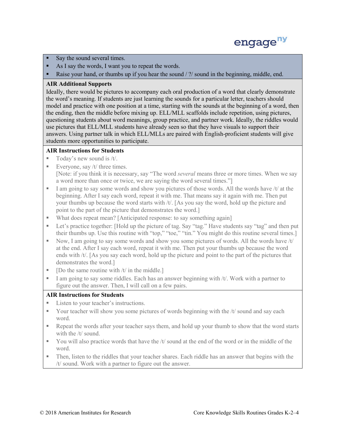

- Say the sound several times.
- As I say the words, I want you to repeat the words.
- Raise your hand, or thumbs up if you hear the sound / ?/ sound in the beginning, middle, end.

# **AIR Additional Supports**

 Ideally, there would be pictures to accompany each oral production of a word that clearly demonstrate the word's meaning. If students are just learning the sounds for a particular letter, teachers should use pictures that ELL/MLL students have already seen so that they have visuals to support their answers. Using partner talk in which ELL/MLLs are paired with English-proficient students will give model and practice with one position at a time, starting with the sounds at the beginning of a word, then the ending, then the middle before mixing up. ELL/MLL scaffolds include repetition, using pictures, questioning students about word meanings, group practice, and partner work. Ideally, the riddles would students more opportunities to participate.

# **AIR Instructions for Students**

- $\blacksquare$  Today's new sound is /t/.
- Everyone, say /t/ three times. [Note: if you think it is necessary, say "The word *several* means three or more times. When we say a word more than once or twice, we are saying the word several times."]
- I am going to say some words and show you pictures of those words. All the words have  $/t/$  at the point to the part of the picture that demonstrates the word.] beginning. After I say each word, repeat it with me. That means say it again with me. Then put your thumbs up because the word starts with /t/. [As you say the word, hold up the picture and
- What does repeat mean? [Anticipated response: to say something again]
- Let's practice together: [Hold up the picture of tag. Say "tag." Have students say "tag" and then put their thumbs up. Use this routine with "top," "toe," "tin." You might do this routine several times.]
- ends with /t/. [As you say each word, hold up the picture and point to the part of the pictures that demonstrates the word.] Now, I am going to say some words and show you some pictures of words. All the words have  $/t/$ at the end. After I say each word, repeat it with me. Then put your thumbs up because the word
- $\blacksquare$  [Do the same routine with /t/ in the middle.]
- figure out the answer. Then, I will call on a few pairs. I am going to say some riddles. Each has an answer beginning with  $/t$ . Work with a partner to

- Listen to your teacher's instructions.
- Your teacher will show you some pictures of words beginning with the /t/ sound and say each word.
- Repeat the words after your teacher says them, and hold up your thumb to show that the word starts with the /t/ sound.
- You will also practice words that have the  $/t$  sound at the end of the word or in the middle of the word.
- /t/ sound. Work with a partner to figure out the answer. Then, listen to the riddles that your teacher shares. Each riddle has an answer that begins with the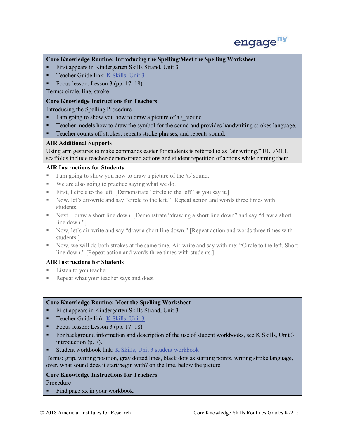

# **Core Knowledge Routine: Introducing the Spelling/Meet the Spelling Worksheet**

- **First appears in Kindergarten Skills Strand, Unit 3**
- Teacher Guide link: K Skills, Unit 3
- Focus lesson: Lesson 3 (pp. 17–18)

Terms**:** circle, line, stroke

# **Core Knowledge Instructions for Teachers**

Introducing the Spelling Procedure

- I am going to show you how to draw a picture of a  $\sqrt{\ }$  sound.
- **Teacher models how to draw the symbol for the sound and provides handwriting strokes language.**
- Teacher counts off strokes, repeats stroke phrases, and repeats sound.

# **AIR Additional Supports**

 Using arm gestures to make commands easier for students is referred to as "air writing." ELL/MLL scaffolds include teacher-demonstrated actions and student repetition of actions while naming them.

# **AIR Instructions for Students**

- I am going to show you how to draw a picture of the /a/ sound.
- We are also going to practice saying what we do.
- First, I circle to the left. [Demonstrate "circle to the left" as you say it.]
- Now, let's air-write and say "circle to the left." [Repeat action and words three times with students.]
- Next, I draw a short line down. [Demonstrate "drawing a short line down" and say "draw a short line down."]
- Now, let's air-write and say "draw a short line down." [Repeat action and words three times with students.]
- line down." [Repeat action and words three times with students.] Now, we will do both strokes at the same time. Air-write and say with me: "Circle to the left. Short

# **AIR Instructions for Students**

- Listen to you teacher.
- Repeat what your teacher says and does.

#### **Core Knowledge Routine: Meet the Spelling Worksheet**

- **First appears in Kindergarten Skills Strand, Unit 3**
- Teacher Guide link: K Skills, Unit 3
- Focus lesson: Lesson  $3$  (pp. 17–18)
- introduction (p. 7). For background information and description of the use of student workbooks, see K Skills, Unit 3
- Student workbook link: K Skills, Unit 3 student workbook

 over, what sound does it start/begin with? on the line, below the picture Terms**:** grip, writing position, gray dotted lines, black dots as starting points, writing stroke language,

# **Core Knowledge Instructions for Teachers**

Procedure

Find page  $xx$  in your workbook.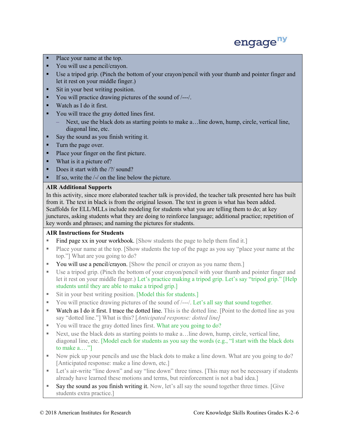

- Place your name at the top.
- You will use a pencil/crayon.
- Use a tripod grip. (Pinch the bottom of your crayon/pencil with your thumb and pointer finger and let it rest on your middle finger.)
- Sit in your best writing position.
- You will practice drawing pictures of the sound of  $/\text{---}/$ .
- Watch as I do it first.
- You will trace the gray dotted lines first.
	- Next, use the black dots as starting points to make a…line down, hump, circle, vertical line, diagonal line, etc.
- Say the sound as you finish writing it.
- Turn the page over.
- Place your finger on the first picture.
- What is it a picture of?
- Does it start with the  $\frac{2}{\sqrt{3}}$  sound?
- If so, write the  $\frac{1}{2}$  on the line below the picture.

# **AIR Additional Supports**

 In this activity, since more elaborated teacher talk is provided, the teacher talk presented here has built from it. The text in black is from the original lesson. The text in green is what has been added. key words and phrases; and naming the pictures for students. Scaffolds for ELL/MLLs include modeling for students what you are telling them to do; at key junctures, asking students what they are doing to reinforce language; additional practice; repetition of

- Find page xx in your workbook. [Show students the page to help them find it.]
- **Place your name at the top. [Show students the top of the page as you say "place your name at the** top."] What are you going to do?
- You will use a pencil/crayon. [Show the pencil or crayon as you name them.]
- Use a tripod grip. (Pinch the bottom of your crayon/pencil with your thumb and pointer finger and let it rest on your middle finger.) Let's practice making a tripod grip. Let's say "tripod grip." [Help students until they are able to make a tripod grip.]
- Sit in your best writing position. [Model this for students.]
- You will practice drawing pictures of the sound of  $\frac{1}{1-\epsilon}$ . Let's all say that sound together.
- Watch as I do it first. I trace the dotted line. This is the dotted line. [Point to the dotted line as you say "dotted line."] What is this? [*Anticipated response: dotted line]*
- You will trace the gray dotted lines first. What are you going to do?
- Next, use the black dots as starting points to make a…line down, hump, circle, vertical line, diagonal line, etc. [Model each for students as you say the words (e.g., "I start with the black dots to make a.…"]
- Now pick up your pencils and use the black dots to make a line down. What are you going to do? [Anticipated response: make a line down, etc.]
- already have learned these motions and terms, but reinforcement is not a bad idea.] **EXECUTE:** Let's air-write "line down" and say "line down" three times. [This may not be necessary if students
- Say the sound as you finish writing it. Now, let's all say the sound together three times. [Give students extra practice.]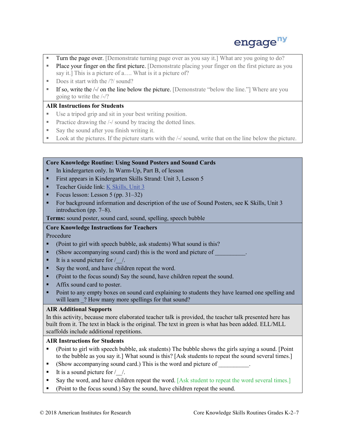

- Turn the page over. [Demonstrate turning page over as you say it.] What are you going to do?
- Place your finger on the first picture. [Demonstrate placing your finger on the first picture as you say it.] This is a picture of a…. What is it a picture of?
- Does it start with the  $\frac{?}{}$  sound?
- If so, write the  $\frac{1}{2}$  on the line below the picture. [Demonstrate "below the line."] Where are you going to write the /-/?

# **AIR Instructions for Students**

- Use a tripod grip and sit in your best writing position.
- **Practice drawing the /-/ sound by tracing the dotted lines.**
- Say the sound after you finish writing it.
- Look at the pictures. If the picture starts with the  $\frac{1}{2}$  sound, write that on the line below the picture.

# **Core Knowledge Routine: Using Sound Posters and Sound Cards**

- In kindergarten only. In Warm-Up, Part B, of lesson
- First appears in Kindergarten Skills Strand: Unit 3, Lesson 5
- Teacher Guide link: K Skills, Unit 3
- Focus lesson: Lesson  $5$  (pp.  $31-32$ )
- introduction (pp. 7–8). For background information and description of the use of Sound Posters, see K Skills, Unit 3

**Terms:** sound poster, sound card, sound, spelling, speech bubble

# **Core Knowledge Instructions for Teachers**

Procedure

- (Point to girl with speech bubble, ask students) What sound is this?
- (Show accompanying sound card) this is the word and picture of
- It is a sound picture for  $/$   $/$ .
- Say the word, and have children repeat the word.
- (Point to the focus sound) Say the sound, have children repeat the sound.
- Affix sound card to poster.
- **Point to any empty boxes on sound card explaining to students they have learned one spelling and** will learn ? How many more spellings for that sound?

# **AIR Additional Supports**

 In this activity, because more elaborated teacher talk is provided, the teacher talk presented here has built from it. The text in black is the original. The text in green is what has been added. ELL/MLL scaffolds include additional repetitions.

- (Point to girl with speech bubble, ask students) The bubble shows the girls saying a sound. [Point to the bubble as you say it.] What sound is this? [Ask students to repeat the sound several times.]
- (Show accompanying sound card.) This is the word and picture of \_\_\_\_\_\_\_\_\_.
- It is a sound picture for  $/$  /.
- Say the word, and have children repeat the word. [Ask student to repeat the word several times.]
- (Point to the focus sound.) Say the sound, have children repeat the sound.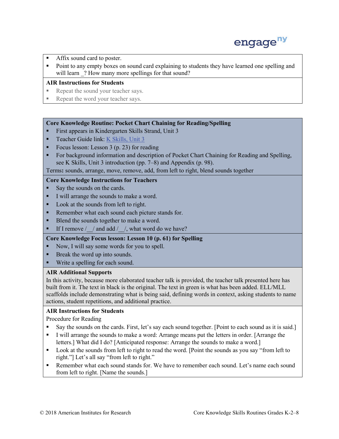

- Affix sound card to poster.
- Point to any empty boxes on sound card explaining to students they have learned one spelling and will learn ? How many more spellings for that sound?

#### **AIR Instructions for Students**

- Repeat the sound your teacher says.
- Repeat the word your teacher says.

#### **Core Knowledge Routine: Pocket Chart Chaining for Reading/Spelling**

- **First appears in Kindergarten Skills Strand, Unit 3**
- Teacher Guide link: K Skills, Unit 3
- Focus lesson: Lesson 3 (p. 23) for reading
- For background information and description of Pocket Chart Chaining for Reading and Spelling, see K Skills, Unit 3 introduction (pp. 7–8) and Appendix (p. 98).

Terms**:** sounds, arrange, move, remove, add, from left to right, blend sounds together

#### **Core Knowledge Instructions for Teachers**

- Say the sounds on the cards.
- I will arrange the sounds to make a word.
- Look at the sounds from left to right.
- Remember what each sound each picture stands for.
- Blend the sounds together to make a word.
- If I remove / / and add / /, what word do we have?

#### **Core Knowledge Focus lesson: Lesson 10 (p. 61) for Spelling**

- Now, I will say some words for you to spell.
- **Break the word up into sounds.**
- Write a spelling for each sound.

#### **AIR Additional Supports**

 built from it. The text in black is the original. The text in green is what has been added. ELL/MLL scaffolds include demonstrating what is being said, defining words in context, asking students to name In this activity, because more elaborated teacher talk is provided, the teacher talk presented here has actions, student repetitions, and additional practice.

# **AIR Instructions for Students**

Procedure for Reading

- Say the sounds on the cards. First, let's say each sound together. [Point to each sound as it is said.]
- I will arrange the sounds to make a word: Arrange means put the letters in order. [Arrange the letters.] What did I do? [Anticipated response: Arrange the sounds to make a word.]
- Look at the sounds from left to right to read the word. [Point the sounds as you say "from left to right."] Let's all say "from left to right."
- Remember what each sound stands for. We have to remember each sound. Let's name each sound from left to right. [Name the sounds.]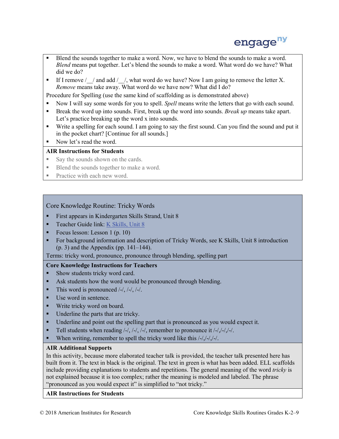

- *Blend* means put together. Let's blend the sounds to make a word. What word do we have? What Blend the sounds together to make a word. Now, we have to blend the sounds to make a word. did we do?
- If I remove  $/\gamma$  and add  $/\gamma$ , what word do we have? Now I am going to remove the letter X. *Remove* means take away. What word do we have now? What did I do?

Procedure for Spelling (use the same kind of scaffolding as is demonstrated above)

- Now I will say some words for you to spell. *Spell* means write the letters that go with each sound.
- Break the word up into sounds. First, break up the word into sounds. *Break up* means take apart. Let's practice breaking up the word x into sounds.
- in the pocket chart? [Continue for all sounds.] Write a spelling for each sound. I am going to say the first sound. Can you find the sound and put it
- Now let's read the word.

# **AIR Instructions for Students**

- Say the sounds shown on the cards.
- Blend the sounds together to make a word.
- Practice with each new word.

# Core Knowledge Routine: Tricky Words

- **First appears in Kindergarten Skills Strand, Unit 8**
- Teacher Guide link: K Skills, Unit 8
- Focus lesson: Lesson 1 (p. 10)
- **For background information and description of Tricky Words, see K Skills, Unit 8 introduction**  $(p. 3)$  and the Appendix (pp. 141–144).

Terms: tricky word, pronounce, pronounce through blending, spelling part

# **Core Knowledge Instructions for Teachers**

- Show students tricky word card.
- Ask students how the word would be pronounced through blending.
- $\blacksquare$  This word is pronounced /-/, /-/, /-/.
- Use word in sentence.
- Write tricky word on board.
- Underline the parts that are tricky.
- **If** Underline and point out the spelling part that is pronounced as you would expect it.
- Tell students when reading  $\frac{1}{2}$ ,  $\frac{1}{2}$ ,  $\frac{1}{2}$ , remember to pronounce it  $\frac{1}{2}$ ,  $\frac{1}{2}$ ,  $\frac{1}{2}$ ,
- When writing, remember to spell the tricky word like this  $\frac{1}{\sqrt{2}}$ ,  $\frac{1}{\sqrt{2}}$ .

# **AIR Additional Supports**

 In this activity, because more elaborated teacher talk is provided, the teacher talk presented here has built from it. The text in black is the original. The text in green is what has been added. ELL scaffolds not explained because it is too complex; rather the meaning is modeled and labeled. The phrase include providing explanations to students and repetitions. The general meaning of the word *tricky* is "pronounced as you would expect it" is simplified to "not tricky."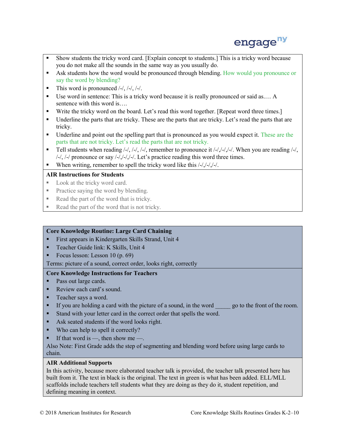

- Show students the tricky word card. [Explain concept to students.] This is a tricky word because you do not make all the sounds in the same way as you usually do.
- Ask students how the word would be pronounced through blending. How would you pronounce or say the word by blending?
- $\blacksquare$  This word is pronounced /-/, /-/, /-/.
- Use word in sentence: This is a tricky word because it is really pronounced or said as.... A sentence with this word is….
- Write the tricky word on the board. Let's read this word together. [Repeat word three times.]
- Underline the parts that are tricky. These are the parts that are tricky. Let's read the parts that are tricky.
- Underline and point out the spelling part that is pronounced as you would expect it. These are the parts that are not tricky. Let's read the parts that are not tricky.
- Tell students when reading  $/-/$ ,  $/-/$ ,  $/-/$ , remember to pronounce it  $\frac{1}{7}$ ,  $\frac{1}{7}$ ,  $\frac{1}{7}$ , When you are reading  $\frac{1}{7}$ ,  $/$ -/,  $/$ -/ pronounce or say  $/$ -/ $/$ -/ $/$ -/ $/$ -/. Let's practice reading this word three times.
- When writing, remember to spell the tricky word like this  $\frac{1}{\sqrt{2}}$ .

# **AIR Instructions for Students**

- Look at the tricky word card.
- Practice saying the word by blending.
- Read the part of the word that is tricky.
- Read the part of the word that is not tricky.

# **Core Knowledge Routine: Large Card Chaining**

- First appears in Kindergarten Skills Strand, Unit 4
- Teacher Guide link: K Skills, Unit 4
- Focus lesson: Lesson  $10(p.69)$
- Focus lesson: Lesson  $10$  (p. 69)<br>Terms: picture of a sound, correct order, looks right, correctly

# **Core Knowledge Instructions for Teachers**

- Pass out large cards.
- Review each card's sound.
- Teacher says a word.
- If you are holding a card with the picture of a sound, in the word \_\_\_\_\_\_ go to the front of the room.
- Stand with your letter card in the correct order that spells the word.
- Ask seated students if the word looks right.
- Who can help to spell it correctly?
- If that word is  $-$ , then show me  $-$ .

Also Note: First Grade adds the step of segmenting and blending word before using large cards to chain.

# **AIR Additional Supports**

 In this activity, because more elaborated teacher talk is provided, the teacher talk presented here has built from it. The text in black is the original. The text in green is what has been added. ELL/MLL scaffolds include teachers tell students what they are doing as they do it, student repetition, and defining meaning in context.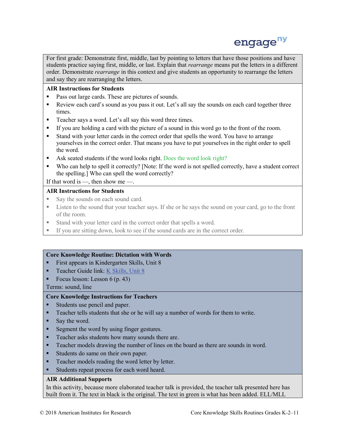

 For first grade: Demonstrate first, middle, last by pointing to letters that have those positions and have students practice saying first, middle, or last. Explain that *rearrange* means put the letters in a different order. Demonstrate *rearrange* in this context and give students an opportunity to rearrange the letters and say they are rearranging the letters.

# **AIR Instructions for Students**

- **Pass out large cards. These are pictures of sounds.**
- Review each card's sound as you pass it out. Let's all say the sounds on each card together three times.
- Teacher says a word. Let's all say this word three times.
- If you are holding a card with the picture of a sound in this word go to the front of the room.
- yourselves in the correct order. That means you have to put yourselves in the right order to spell Stand with your letter cards in the correct order that spells the word. You have to arrange the word.
- Ask seated students if the word looks right. Does the word look right?
- Who can help to spell it correctly? [Note: If the word is not spelled correctly, have a student correct the spelling.] Who can spell the word correctly?

# If that word is  $-$ , then show me -

# **AIR Instructions for Students**

- Say the sounds on each sound card.
- **Example 1** Listen to the sound that your teacher says. If she or he says the sound on your card, go to the front of the room.
- Stand with your letter card in the correct order that spells a word.
- If you are sitting down, look to see if the sound cards are in the correct order.

# **Core Knowledge Routine: Dictation with Words**

- First appears in Kindergarten Skills, Unit 8
- **Teacher Guide link: K Skills, Unit 8**
- Focus lesson: Lesson  $6$  (p. 43)

Terms: sound, line

# **Core Knowledge Instructions for Teachers**

- Students use pencil and paper.
- Teacher tells students that she or he will say a number of words for them to write.
- Say the word.
- Segment the word by using finger gestures.
- **Teacher asks students how many sounds there are.**
- **Teacher models drawing the number of lines on the board as there are sounds in word.**
- Students do same on their own paper.
- Teacher models reading the word letter by letter.
- Students repeat process for each word heard.

# **AIR Additional Supports**

 In this activity, because more elaborated teacher talk is provided, the teacher talk presented here has built from it. The text in black is the original. The text in green is what has been added. ELL/MLL